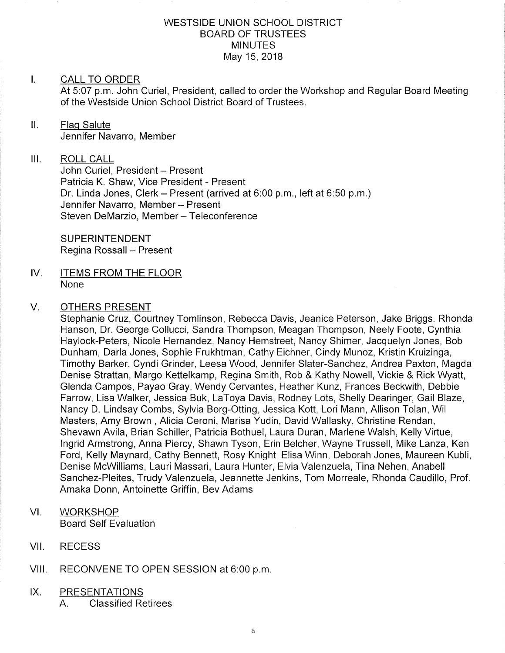#### WESTSIDE UNION SCHOOL DISTRICT BOARD OF TRUSTEES **MINUTES** May 15,2018

#### I. CALL TO ORDER

At 5:07 p.m. John Curiel, President, called to order the Workshop and Regular Board Meeting of the Westside Union School District Board of Trustees.

ll. Flaq Salute Jennifer Navarro, Member

#### III. ROLL CALL

John Curiel, President - Present Patricia K. Shaw, Vice President - Present Dr. Linda Jones, Clerk - Present (arrived at 6:00 p.m., left at 6:50 p.m.) Jennifer Navarro, Member - Present Steven DeMarzio, Member - Teleconference

SUPERINTENDENT Regina Rossall - Present

IV. ITEMS FROM THE FLOOR None

#### V. OTHERS PRESENT

Stephanie Cruz, Courtney Tomlinson, Rebecca Davis, Jeanice Peterson, Jake Briggs. Rhonda Hanson, Dr. George Collucci, Sandra Thompson, Meagan Thompson, Neely Foote, Cynthia Haylock-Peters, Nicole Hernandez, Nancy Hemstreet, Nancy Shimer, Jacquelyn Jones, Bob Dunham, Darla Jones, Sophie Frukhtman, Cathy Eichner, Cindy Munoz, Kristin Kruizinga, Timothy Barker, Cyndi Grinder, Leesa Wood, Jennifer Slater-Sanchez, Andrea Paxton, Magda Denise Strattan, Margo Kettelkamp, Regina Smith, Rob & Kathy Nowell, Vickie & Rick Wyatt, Glenda Campos, Payao Gray, Wendy Cervantes, Heather Kunz, Frances Beckwith, Debbie Farrow, Lisa Walker, Jessica Buk, LaToya Davis, Rodney Lots, Shelly Dearinger, Gail Blaze, Nancy D. Lindsay Combs, Sylvia Borg-Otting, Jessica Kott, Lori Mann, Allison Tolan, Wil Masters, Amy Brown , Alicia Ceroni, Marisa Yudin, David Wallasky, Christine Rendan, Shevawn Avila, Brian Schiller, Patricia Bothuel, Laura Duran, Marlene Walsh, Kelly Virtue, lngrid Armstrong, Anna Piercy, Shawn Tyson, Erin Belcher, Wayne Trussell, Mike Lanza, Ken Ford, Kelly Maynard, Cathy Bennett, Rosy Knight, Elisa Winn, Deborah Jones, Maureen Kubli, Denise McWilliams, Lauri Massari, Laura Hunter, Elvia Valenzuela, Tina Nehen, Anabell Sanchez-Pleites, Trudy Valenzuela, Jeannette Jenkins, Tom Morreale, Rhonda Caudillo, Prof. Amaka Donn, Antoinette Griffin, Bev Adams

- **WORKSHOP** Board Self Evaluation VI
- VII. RECESS
- Vlll. RECONVENE TO OPEN SESSION at 6:00 p.m

#### PRESENTATIONS  $IX.$

A. Classified Retirees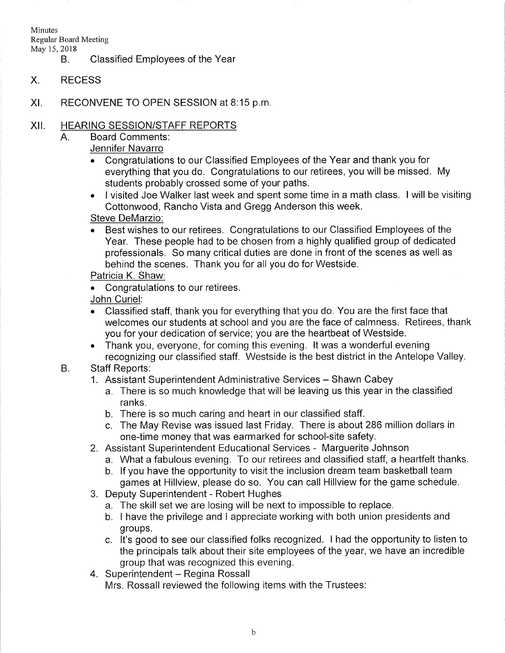Minutes

Regular Board Meeting

May 15, 2018<br>B. Classified Employees of the Year

- X RECESS
- XI RECONVENE TO OPEN SESSION at B:15 p.m

#### xil HEARING SESSION/STAFF REPORTS

- $A<sub>1</sub>$ Board Comments:
	- Jennifer Navarro
	- . Congratulations to our Classified Employees of the Year and thank you for everything that you do. Congratulations to our retirees, you will be missed. My students probably crossed some of your paths.
	- . I visited Joe Walker last week and spent some time in a math class. I will be visiting Cottonwood, Rancho Vista and Gregg Anderson this week.

## Steve DeMarzio.

. Best wishes to our retirees. Congratulations to our Classified Employees of the Year. These people had to be chosen from a highly qualified group of dedicated professionals. So many critical duties are done in front of the scenes as well as behind the scenes. Thank you for all you do for Westside.

# Patricia K. Shaw:

. Congratulations to our retirees.

## John Curiel:

- . Classified staff, thank you for everything that you do. You are the first face that welcomes our students at school and you are the face of calmness. Retirees, thank you for your dedication of service; you are the heartbeat of Westside.
- . Thank you, everyone, for coming this evening. lt was a wonderful evening recognizing our classified staff. Westside is the best district in the Antelope Valley.
- B. Staff Reports:
	- 1. Assistant Superintendent Administrative Services Shawn Cabey
		- a. There is so much knowledge that will be leaving us this year in the classified ranks.
		- b. There is so much caring and heart in our classified staff.
		- c. The May Revise was issued last Friday. There is about 286 million dollars in one-time money that was earmarked for school-site safety.
	-
	- 2. Assistant Superintendent Educational Services Marguerite Johnson<br>a. What a fabulous evening. To our retirees and classified staff, a heartfelt thanks.
		- b. If you have the opportunity to visit the inclusion dream team basketball team games at Hillview, please do so. You can call Hillview for the game schedule.
	- 3. Deputy Superintendent Robert Hughes
		- a. The skill set we are losing will be next to impossible to replace.
		- b. I have the privilege and I appreciate working with both union presidents and groups.
	- c. lt's good to see our classified folks recognized. I had the opportunity to listen to the principals talk about their site employees of the year, we have an incredible group that was recognized this evening. 4. Superintendent - Regina Rossall
	- Mrs. Rossall reviewed the following items with the Trustees: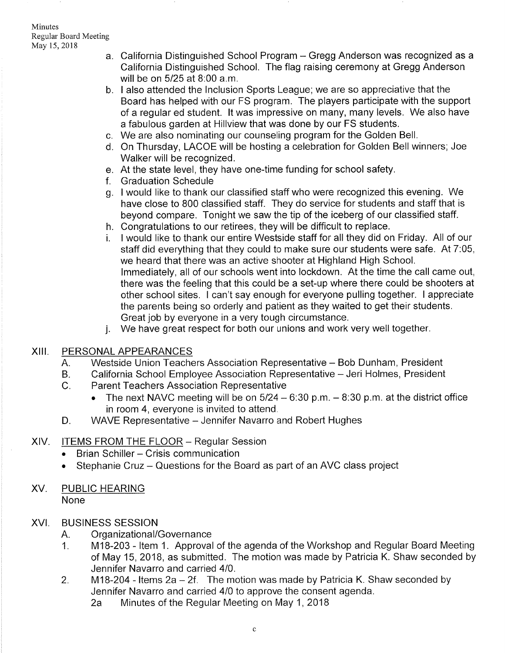- a. California Distinguished School Program Gregg Anderson was recognized as a California Distinguished School. The flag raising ceremony at Gregg Anderson will be on 5125 at B:00 a.m.
- b. I also attended the Inclusion Sports League; we are so appreciative that the Board has helped with our FS program. The players participate with the support of a regular ed student. lt was impressive on many, many levels. We also have a fabulous garden at Hillview that was done by our FS students.
- c. We are also nominating our counseling program for the Golden Bell
- On Thursday, LACOE will be hosting a celebration for Golden Bell winners; Joe d Walker will be recognized.
- At the state level, they have one-time funding for school safety. e
- f. Graduation Schedule
- g. I would like to thank our classified staff who were recognized this evening. We have close to 800 classified staff. They do service for students and staff that is beyond compare. Tonight we saw the tip of the iceberg of our classified staff.
- Congratulations to our retirees, they will be difficult to replace. h
- <sup>I</sup>would like to thank our entire Westside staff for all they did on Friday. All of our staff did everything that they could to make sure our students were safe. At 7:05, we heard that there was an active shooter at Highland High School. lmmediately, all of our schools went into lockdown. At the time the call came out, there was the feeling that this could be a set-up where there could be shooters at other school sites. I can't say enough for everyone pulling together. I appreciate the parents being so orderly and patient as they waited to get their students. Great job by everyone in a very tough circumstance. i.
- We have great respect for both our unions and work very well together. j.

## XIII. PERSONALAPPEARANCES

- A. Westside Union Teachers Association Representative - Bob Dunham, President
- B. California School Employee Association Representative - Jeri Holmes, President
- $C_{\cdot}$ Parent Teachers Association Representative
	- The next NAVC meeting will be on  $5/24 6.30$  p.m.  $8.30$  p.m. at the district office in room 4, everyone is invited to attend.
- WAVE Representative Jennifer Navarro and Robert Hughes D.

## XIV. ITEMS FROM THE FLOOR - Regular Session

- Brian Schiller Crisis communication
- . Stephanie Cruz Questions for the Board as part of an AVC class project
- XV. PUBLIC HEARING None

## XVI. BUSINESS SESSION

- 
- A. Organizational/Governance<br>1. M18-203 Item 1. Approval of the agenda of the Workshop and Regular Board Meeting of May 15,2018, as submitted. The motion was made by Patricia K. Shaw seconded by Jennifer Navarro and carried 410.
- 2. M18-204 Items 2a 2f. The motion was made by Patricia K. Shaw seconded by Jennifer Navarro and carried 4/0 to approve the consent agenda.
	- 2a Minutes of the Regular Meeting on May 1, 2018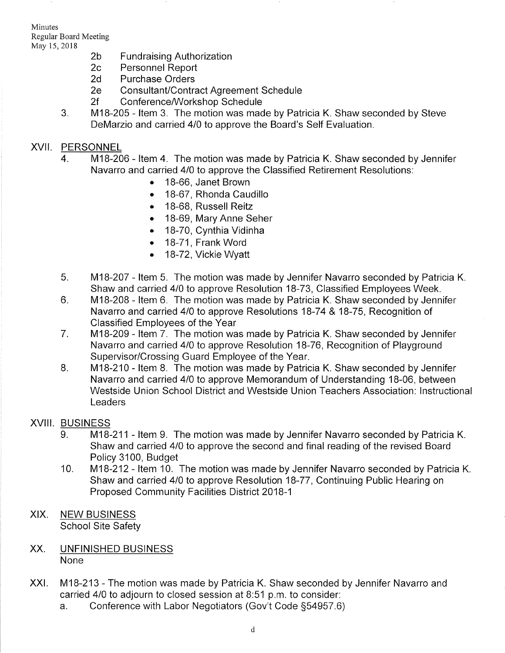Minutes Regular Board Meeting

- May 15, 2018<br>
2b Fundraising Authorization<br>
2c Personnel Report<br>
2d Purchase Orders
	-
	-
	-
	-
	- 2e Consultant/Contract Agreement Schedule<br>2f Conference/Workshop Schedule<br>3. M18-205 Item 3. The motion was made by Patricia K. Shaw seconded by Steve DeMarzio and carried 410 to approve the Board's Self Evaluation.

# XVII. PERSONNEL

- 4. M18-206 ltem 4. The motion was made by Patricia K. Shaw seconded by Jennifer Navarro and carried 410 to approve the Classified Retirement Resolutions:
	- . 18-66, Janet Brown
	- . 18-67, Rhonda Caudillo
	- . 18-68, Russell Reitz
	- . 18-69, Mary Anne Seher
	- . 1B-70, Cynthia Vidinha
	- . 18-71, Frank Word
	- . 18-72, Vickie Wyatt
- M18-207 Item 5. The motion was made by Jennifer Navarro seconded by Patricia K. Shaw and carried 410 to approve Resolution 18-73, Classified Employees Week. 5
- M18-208 ltem 6. The motion was made by Patricia K. Shaw seconded by Jennifer Navarro and carried 410 to approve Resolutions 1B-74 & 1B-75, Recognition of Classified Employees of the Year 6
- M18-209 ltem 7. The motion was made by Patricia K. Shaw seconded by Jennifer Navarro and carried 410 to approve Resolution 18-76, Recognition of Playground Supervisor/Crossing Guard Employee of the Year. 7
- M18-210 Item 8. The motion was made by Patricia K. Shaw seconded by Jennifer Navarro and carried 410 to approve Memorandum of Understanding 18-06, between Westside Union School District and Westside Union Teachers Association: lnstructional Leaders  $8<sub>1</sub>$

# XVIII. BUSINESS

- 9. M18-211 Item 9. The motion was made by Jennifer Navarro seconded by Patricia K. Shaw and carried 410 to approve the second and final reading of the revised Board Policy 3100, Budget
- M18-212 Item 10. The motion was made by Jennifer Navarro seconded by Patricia K. Shaw and carried 410 to approve Resolution 18-77, Continuing Public Hearing on Proposed Community Facilities District 2018-1 10
- XIX. NEW BUSINESS School Site Safety
- XX UNFINISHED BUSINESS None
- XXI. M18-213 The motion was made by Patricia K. Shaw seconded by Jennifer Navarro and carried 410 to adjourn to closed session at B:51 p.m. to consider:
	- a. Conference with Labor Negotiators (Gov't Code 554957.6)